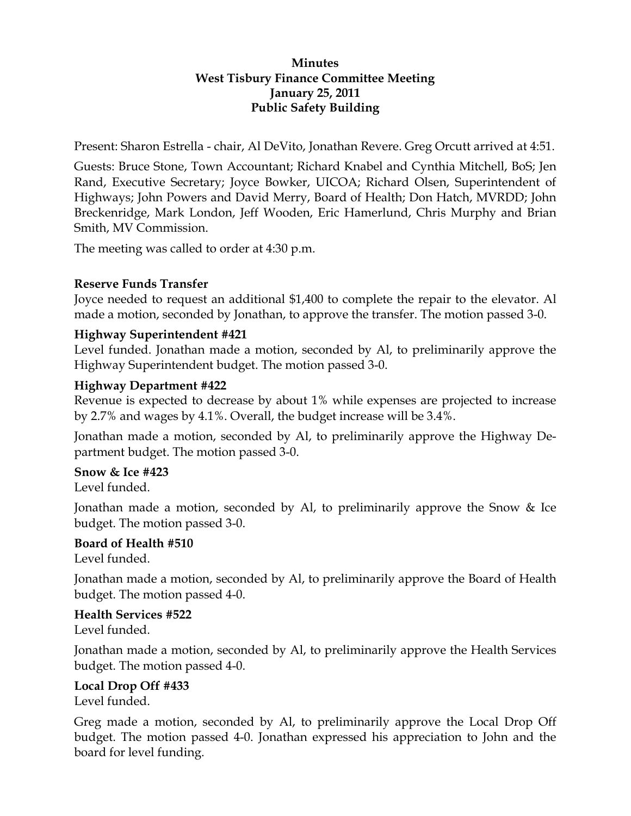### **Minutes West Tisbury Finance Committee Meeting January 25, 2011 Public Safety Building**

Present: Sharon Estrella - chair, Al DeVito, Jonathan Revere. Greg Orcutt arrived at 4:51.

Guests: Bruce Stone, Town Accountant; Richard Knabel and Cynthia Mitchell, BoS; Jen Rand, Executive Secretary; Joyce Bowker, UICOA; Richard Olsen, Superintendent of Highways; John Powers and David Merry, Board of Health; Don Hatch, MVRDD; John Breckenridge, Mark London, Jeff Wooden, Eric Hamerlund, Chris Murphy and Brian Smith, MV Commission.

The meeting was called to order at 4:30 p.m.

### **Reserve Funds Transfer**

Joyce needed to request an additional \$1,400 to complete the repair to the elevator. Al made a motion, seconded by Jonathan, to approve the transfer. The motion passed 3-0.

### **Highway Superintendent #421**

Level funded. Jonathan made a motion, seconded by Al, to preliminarily approve the Highway Superintendent budget. The motion passed 3-0.

### **Highway Department #422**

Revenue is expected to decrease by about 1% while expenses are projected to increase by 2.7% and wages by 4.1%. Overall, the budget increase will be 3.4%.

Jonathan made a motion, seconded by Al, to preliminarily approve the Highway Department budget. The motion passed 3-0.

#### **Snow & Ice #423**

Level funded.

Jonathan made a motion, seconded by Al, to preliminarily approve the Snow & Ice budget. The motion passed 3-0.

## **Board of Health #510**

Level funded.

Jonathan made a motion, seconded by Al, to preliminarily approve the Board of Health budget. The motion passed 4-0.

**Health Services #522**  Level funded.

Jonathan made a motion, seconded by Al, to preliminarily approve the Health Services budget. The motion passed 4-0.

**Local Drop Off #433**  Level funded.

Greg made a motion, seconded by Al, to preliminarily approve the Local Drop Off budget. The motion passed 4-0. Jonathan expressed his appreciation to John and the board for level funding.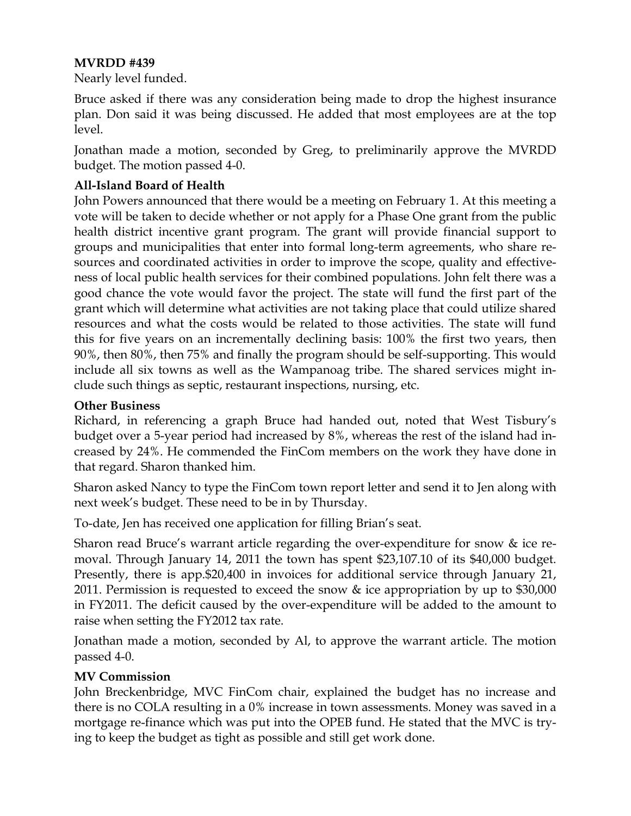### **MVRDD #439**

Nearly level funded.

Bruce asked if there was any consideration being made to drop the highest insurance plan. Don said it was being discussed. He added that most employees are at the top level.

Jonathan made a motion, seconded by Greg, to preliminarily approve the MVRDD budget. The motion passed 4-0.

# **All-Island Board of Health**

John Powers announced that there would be a meeting on February 1. At this meeting a vote will be taken to decide whether or not apply for a Phase One grant from the public health district incentive grant program. The grant will provide financial support to groups and municipalities that enter into formal long-term agreements, who share resources and coordinated activities in order to improve the scope, quality and effectiveness of local public health services for their combined populations. John felt there was a good chance the vote would favor the project. The state will fund the first part of the grant which will determine what activities are not taking place that could utilize shared resources and what the costs would be related to those activities. The state will fund this for five years on an incrementally declining basis: 100% the first two years, then 90%, then 80%, then 75% and finally the program should be self-supporting. This would include all six towns as well as the Wampanoag tribe. The shared services might include such things as septic, restaurant inspections, nursing, etc.

### **Other Business**

Richard, in referencing a graph Bruce had handed out, noted that West Tisbury's budget over a 5-year period had increased by 8%, whereas the rest of the island had increased by 24%. He commended the FinCom members on the work they have done in that regard. Sharon thanked him.

Sharon asked Nancy to type the FinCom town report letter and send it to Jen along with next week's budget. These need to be in by Thursday.

To-date, Jen has received one application for filling Brian's seat.

Sharon read Bruce's warrant article regarding the over-expenditure for snow & ice removal. Through January 14, 2011 the town has spent \$23,107.10 of its \$40,000 budget. Presently, there is app.\$20,400 in invoices for additional service through January 21, 2011. Permission is requested to exceed the snow & ice appropriation by up to \$30,000 in FY2011. The deficit caused by the over-expenditure will be added to the amount to raise when setting the FY2012 tax rate.

Jonathan made a motion, seconded by Al, to approve the warrant article. The motion passed 4-0.

## **MV Commission**

John Breckenbridge, MVC FinCom chair, explained the budget has no increase and there is no COLA resulting in a 0% increase in town assessments. Money was saved in a mortgage re-finance which was put into the OPEB fund. He stated that the MVC is trying to keep the budget as tight as possible and still get work done.